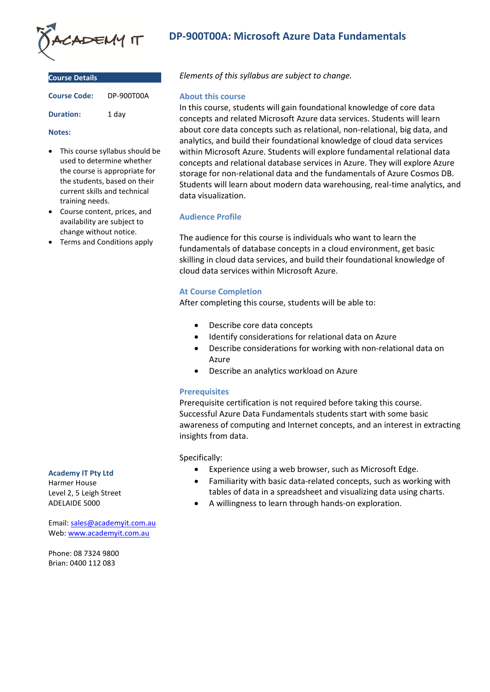

| <b>Course Details</b> |            |
|-----------------------|------------|
| <b>Course Code:</b>   | DP-900T00A |
| <b>Duration:</b>      | 1 day      |

#### **Notes:**

- This course syllabus should be used to determine whether the course is appropriate for the students, based on their current skills and technical training needs.
- Course content, prices, and availability are subject to change without notice.
- Terms and Conditions apply

# **Academy IT Pty Ltd**

Harmer House Level 2, 5 Leigh Street ADELAIDE 5000

Email: [sales@academyit.com.au](mailto:sales@academyit.com.au) Web: [www.academyit.com.au](http://www.academyit.com.au/)

Phone: 08 7324 9800 Brian: 0400 112 083

# **DP-900T00A: Microsoft Azure Data Fundamentals**

*Elements of this syllabus are subject to change.*

### **About this course**

In this course, students will gain foundational knowledge of core data concepts and related Microsoft Azure data services. Students will learn about core data concepts such as relational, non-relational, big data, and analytics, and build their foundational knowledge of cloud data services within Microsoft Azure. Students will explore fundamental relational data concepts and relational database services in Azure. They will explore Azure storage for non-relational data and the fundamentals of Azure Cosmos DB. Students will learn about modern data warehousing, real-time analytics, and data visualization.

# **Audience Profile**

The audience for this course is individuals who want to learn the fundamentals of database concepts in a cloud environment, get basic skilling in cloud data services, and build their foundational knowledge of cloud data services within Microsoft Azure.

## **At Course Completion**

After completing this course, students will be able to:

- Describe core data concepts
- Identify considerations for relational data on Azure
- Describe considerations for working with non-relational data on Azure
- Describe an analytics workload on Azure

## **Prerequisites**

Prerequisite certification is not required before taking this course. Successful Azure Data Fundamentals students start with some basic awareness of computing and Internet concepts, and an interest in extracting insights from data.

## Specifically:

- Experience using a web browser, such as Microsoft Edge.
- Familiarity with basic data-related concepts, such as working with tables of data in a spreadsheet and visualizing data using charts.
- A willingness to learn through hands-on exploration.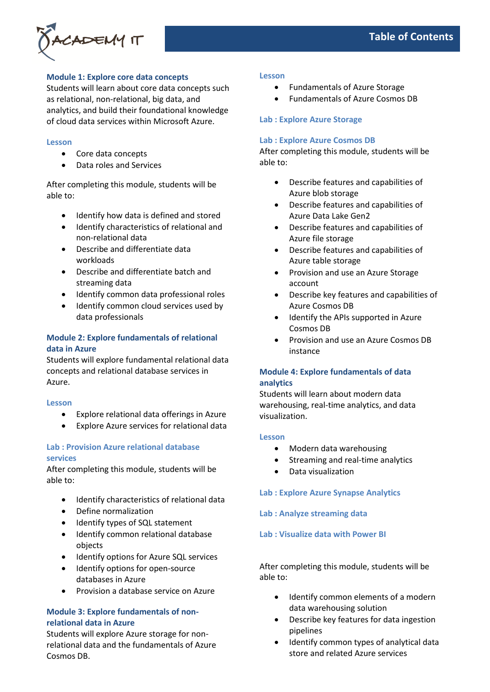

# **Module 1: Explore core data concepts**

Students will learn about core data concepts such as relational, non-relational, big data, and analytics, and build their foundational knowledge of cloud data services within Microsoft Azure.

### **Lesson**

- Core data concepts
- Data roles and Services

After completing this module, students will be able to:

- Identify how data is defined and stored
- Identify characteristics of relational and non-relational data
- Describe and differentiate data workloads
- Describe and differentiate batch and streaming data
- Identify common data professional roles
- Identify common cloud services used by data professionals

# **Module 2: Explore fundamentals of relational data in Azure**

Students will explore fundamental relational data concepts and relational database services in Azure.

#### **Lesson**

- Explore relational data offerings in Azure
- Explore Azure services for relational data

## **Lab : Provision Azure relational database services**

After completing this module, students will be able to:

- Identify characteristics of relational data
- Define normalization
- Identify types of SQL statement
- Identify common relational database objects
- Identify options for Azure SQL services
- Identify options for open-source databases in Azure
- Provision a database service on Azure

# **Module 3: Explore fundamentals of nonrelational data in Azure**

Students will explore Azure storage for nonrelational data and the fundamentals of Azure Cosmos DB.

#### **Lesson**

- Fundamentals of Azure Storage
- Fundamentals of Azure Cosmos DB

### **Lab : Explore Azure Storage**

#### **Lab : Explore Azure Cosmos DB**

After completing this module, students will be able to:

- Describe features and capabilities of Azure blob storage
- Describe features and capabilities of Azure Data Lake Gen2
- Describe features and capabilities of Azure file storage
- Describe features and capabilities of Azure table storage
- Provision and use an Azure Storage account
- Describe key features and capabilities of Azure Cosmos DB
- Identify the APIs supported in Azure Cosmos DB
- Provision and use an Azure Cosmos DB instance

# **Module 4: Explore fundamentals of data analytics**

Students will learn about modern data warehousing, real-time analytics, and data visualization.

#### **Lesson**

- Modern data warehousing
- Streaming and real-time analytics
- Data visualization

## **Lab : Explore Azure Synapse Analytics**

## **Lab : Analyze streaming data**

### **Lab : Visualize data with Power BI**

After completing this module, students will be able to:

- Identify common elements of a modern data warehousing solution
- Describe key features for data ingestion pipelines
- Identify common types of analytical data store and related Azure services